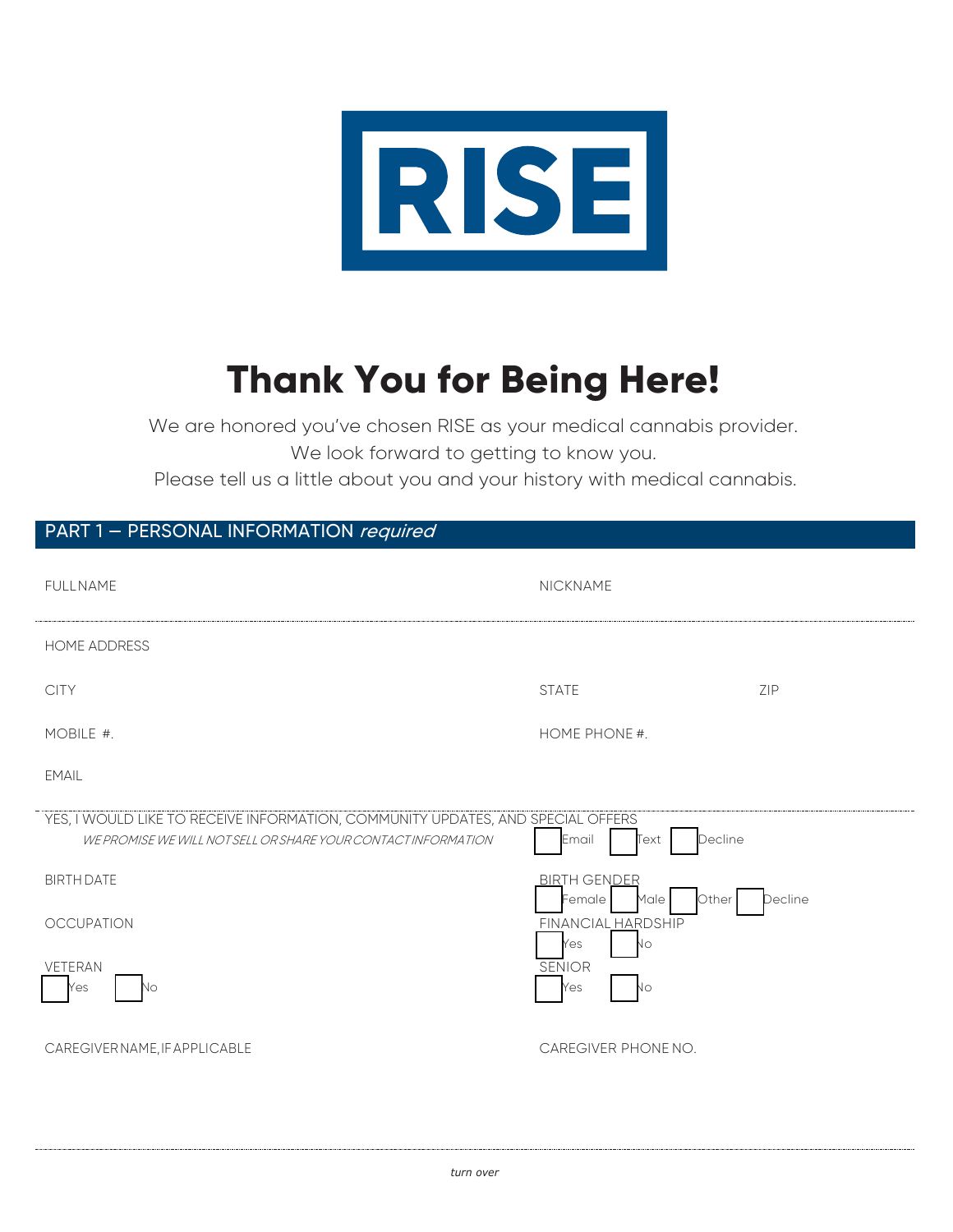

# **Thank You for Being Here!**

We are honored you've chosen RISE as your medical cannabis provider. We look forward to getting to know you.

Please tell us a little about you and your history with medical cannabis.

## PART 1 - PERSONAL INFORMATION required

| <b>FULLNAME</b>                                                                                                                                  | NICKNAME                                       |                             |
|--------------------------------------------------------------------------------------------------------------------------------------------------|------------------------------------------------|-----------------------------|
| HOME ADDRESS                                                                                                                                     |                                                |                             |
| <b>CITY</b>                                                                                                                                      | <b>STATE</b>                                   | $\sim$ $\sim$ $\sim$<br>ZIP |
| MOBILE #.                                                                                                                                        | HOME PHONE #.                                  |                             |
| EMAIL                                                                                                                                            |                                                |                             |
| YES, I WOULD LIKE TO RECEIVE INFORMATION, COMMUNITY UPDATES, AND SPECIAL OFFERS<br>WE PROMISE WE WILL NOT SELL OR SHARE YOUR CONTACT INFORMATION | Decline<br>Email<br>Text                       |                             |
| <b>BIRTH DATE</b>                                                                                                                                | <b>BIRTH GENDER</b><br>Other<br>Female<br>Male | Decline                     |
| <b>OCCUPATION</b>                                                                                                                                | <b>FINANCIAL HARDSHIP</b><br>Yes<br>No         |                             |
| VETERAN<br>Νo<br>Yes                                                                                                                             | <b>SENIOR</b><br>No<br>Yes                     |                             |
| CAREGIVER NAME, IF APPLICABLE                                                                                                                    | CAREGIVER PHONE NO.                            |                             |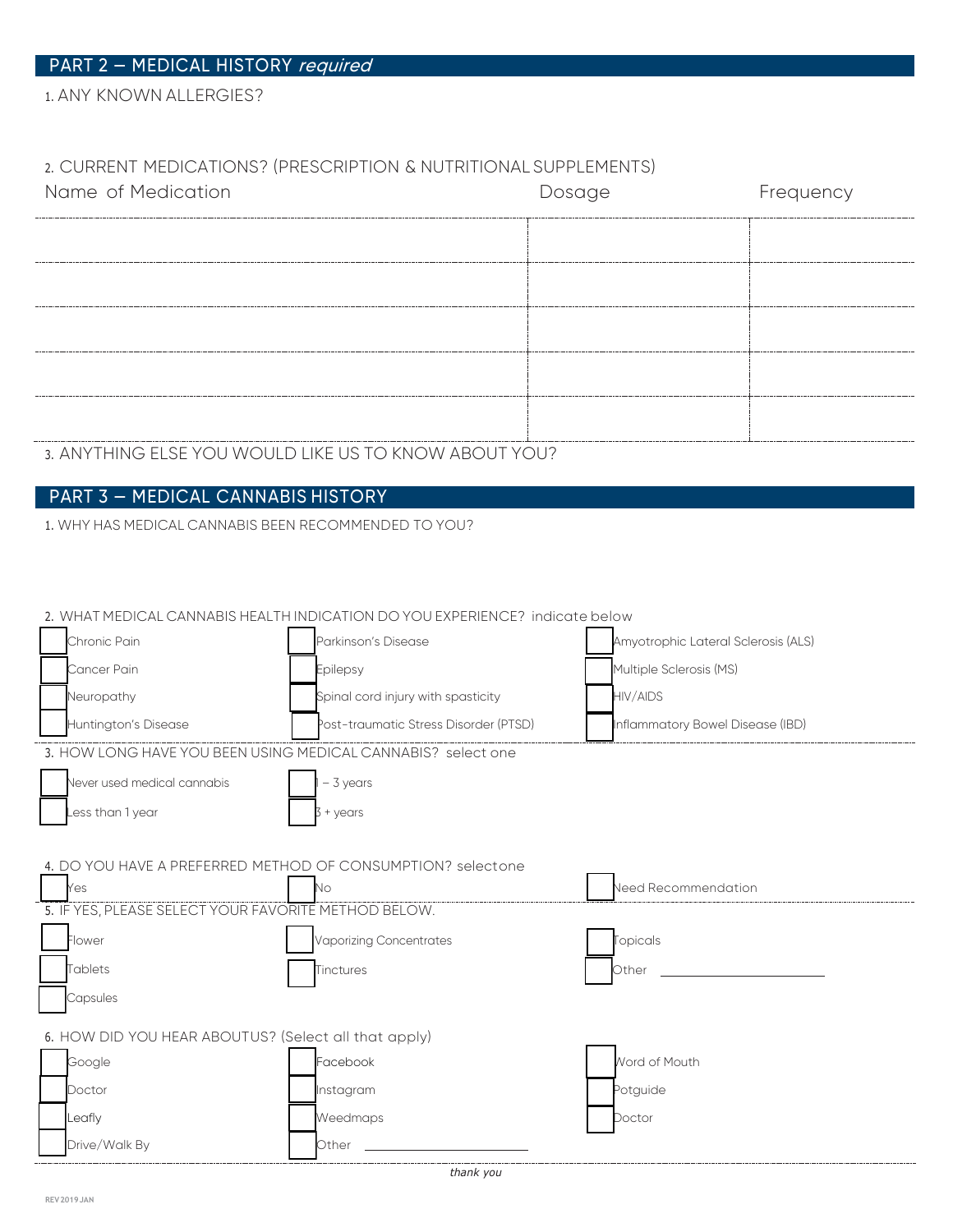1. ANY KNOWN ALLERGIES?

### 2. CURRENT MEDICATIONS? (PRESCRIPTION & NUTRITIONAL SUPPLEMENTS)

| Name of Medication | Dosage | Frequency |
|--------------------|--------|-----------|
|                    |        |           |
| -----------------  |        |           |
|                    |        |           |
| ----------------   |        |           |
|                    |        |           |
|                    |        |           |

3. ANYTHING ELSE YOU WOULD LIKE US TO KNOW ABOUT YOU?

## PART 3 — MEDICAL CANNABIS HISTORY

1. WHY HAS MEDICAL CANNABIS BEEN RECOMMENDED TO YOU?

|                                                              | 2. WHAT MEDICAL CANNABIS HEALTH INDICATION DO YOU EXPERIENCE? indicate below |                                     |
|--------------------------------------------------------------|------------------------------------------------------------------------------|-------------------------------------|
| Chronic Pain                                                 | Parkinson's Disease                                                          | Amyotrophic Lateral Sclerosis (ALS) |
| Cancer Pain                                                  | Epilepsy                                                                     | Multiple Sclerosis (MS)             |
| Neuropathy                                                   | Spinal cord injury with spasticity                                           | <b>HIV/AIDS</b>                     |
| Huntington's Disease                                         | Post-traumatic Stress Disorder (PTSD)                                        | Inflammatory Bowel Disease (IBD)    |
| 3. HOW LONG HAVE YOU BEEN USING MEDICAL CANNABIS? select one |                                                                              |                                     |
| Never used medical cannabis                                  | $-3$ years                                                                   |                                     |
| ess than 1 year                                              | + years                                                                      |                                     |
|                                                              |                                                                              |                                     |
| 4. DO YOU HAVE A PREFERRED METHOD OF CONSUMPTION? selectone  |                                                                              |                                     |
| Yes                                                          | No                                                                           | Need Recommendation                 |
| 5. IF YES, PLEASE SELECT YOUR FAVORITE METHOD BELOW.         |                                                                              |                                     |
| Flower                                                       | Vaporizing Concentrates                                                      | Topicals                            |
| Tablets                                                      | Tinctures                                                                    | Other                               |
| Capsules                                                     |                                                                              |                                     |
| 6. HOW DID YOU HEAR ABOUTUS? (Select all that apply)         |                                                                              |                                     |
| Google                                                       | Facebook                                                                     | <b>Nord of Mouth</b>                |
| Doctor                                                       | Instagram                                                                    | Potquide                            |
| Leafly                                                       | Weedmaps                                                                     | Doctor                              |
| Drive/Walk By                                                | Other                                                                        |                                     |

*thank you*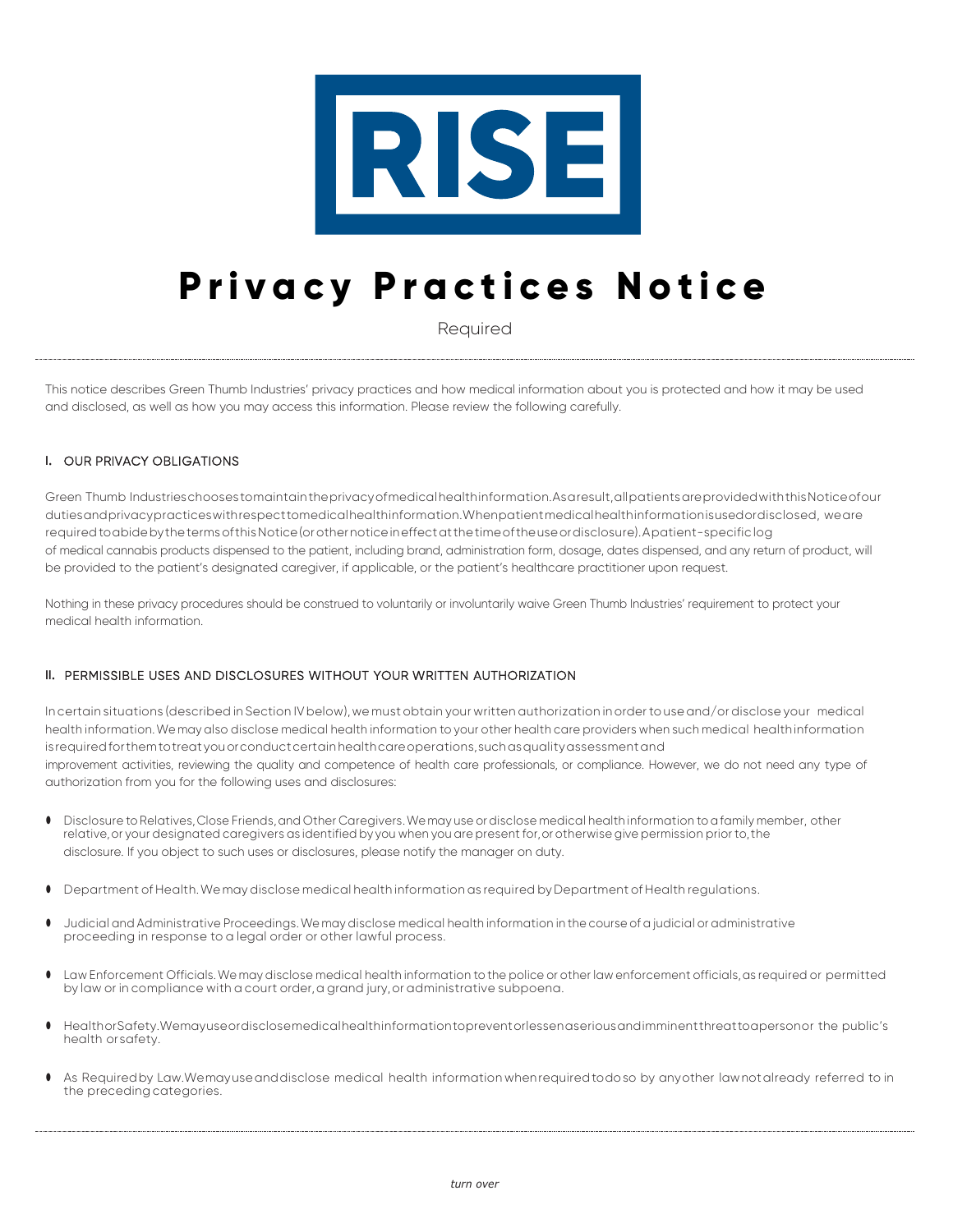

# **Privacy Practices Notice**

Required

This notice describes Green Thumb Industries' privacy practices and how medical information about you is protected and how it may be used and disclosed, as well as how you may access this information. Please review the following carefully.

### **I.** OUR PRIVACY OBLIGATIONS

 Green Thumb Industrieschooses tomaintaintheprivacyofmedicalhealthinformation.As a result,allpatientsareprovidedwiththisNoticeofour dutiesandprivacypracticeswithrespecttomedicalhealthinformation.Whenpatientmedicalhealthinformationisusedordisclosed, weare requiredtoabidebythetermsofthisNotice(orothernoticeineffectatthetimeoftheuseordisclosure). A patient-specific log of medical cannabis products dispensed to the patient, including brand, administration form, dosage, dates dispensed, and any return of product, will be provided to the patient's designated caregiver, if applicable, or the patient's healthcare practitioner upon request.

Nothing in these privacy procedures should be construed to voluntarily or involuntarily waive Green Thumb Industries' requirement to protect your medical health information.

#### **II.** PERMISSIBLE USES AND DISCLOSURES WITHOUT YOUR WRITTEN AUTHORIZATION

In certain situations (described in Section IV below), we must obtain your written authorization in order to use and/or disclose your medical health information.We may also disclose medical health information to your other health care providers when such medical healthinformation isrequiredforthemtotreat youorconductcertainhealthcareoperations,suchasqualityassessmentand improvement activities, reviewing the quality and competence of health care professionals, or compliance. However, we do not need any type of authorization from you for the following uses and disclosures:

- Disclosure to Relatives,Close Friends,and Other Caregivers.We may use or disclose medical health information to a family member, other relative, or your designated caregivers as identified by you when you are present for, or otherwise give permission prior to, the disclosure. If you object to such uses or disclosures, please notify the manager on duty.
- Department of Health.We may disclose medical health information as required by Department of Health regulations.
- Judicial and Administrative Proceedings.We may disclose medical health information in the course of a judicial or administrative proceeding in response to a legal order or other lawful process.
- Law Enforcement Officials. We may disclose medical health information to the police or other law enforcement officials, as required or permitted by law or in compliance with a court order, a grand jury, or administrative subpoena.
- HealthorSafety.Wemayuseordisclosemedicalhealthinformationtopreventorlessen aseriousandimminent threatto apersonor the public's health orsafety.
- As Required by Law. We may use and disclose medical health information when required to do so by any other law not already referred to in the preceding categories.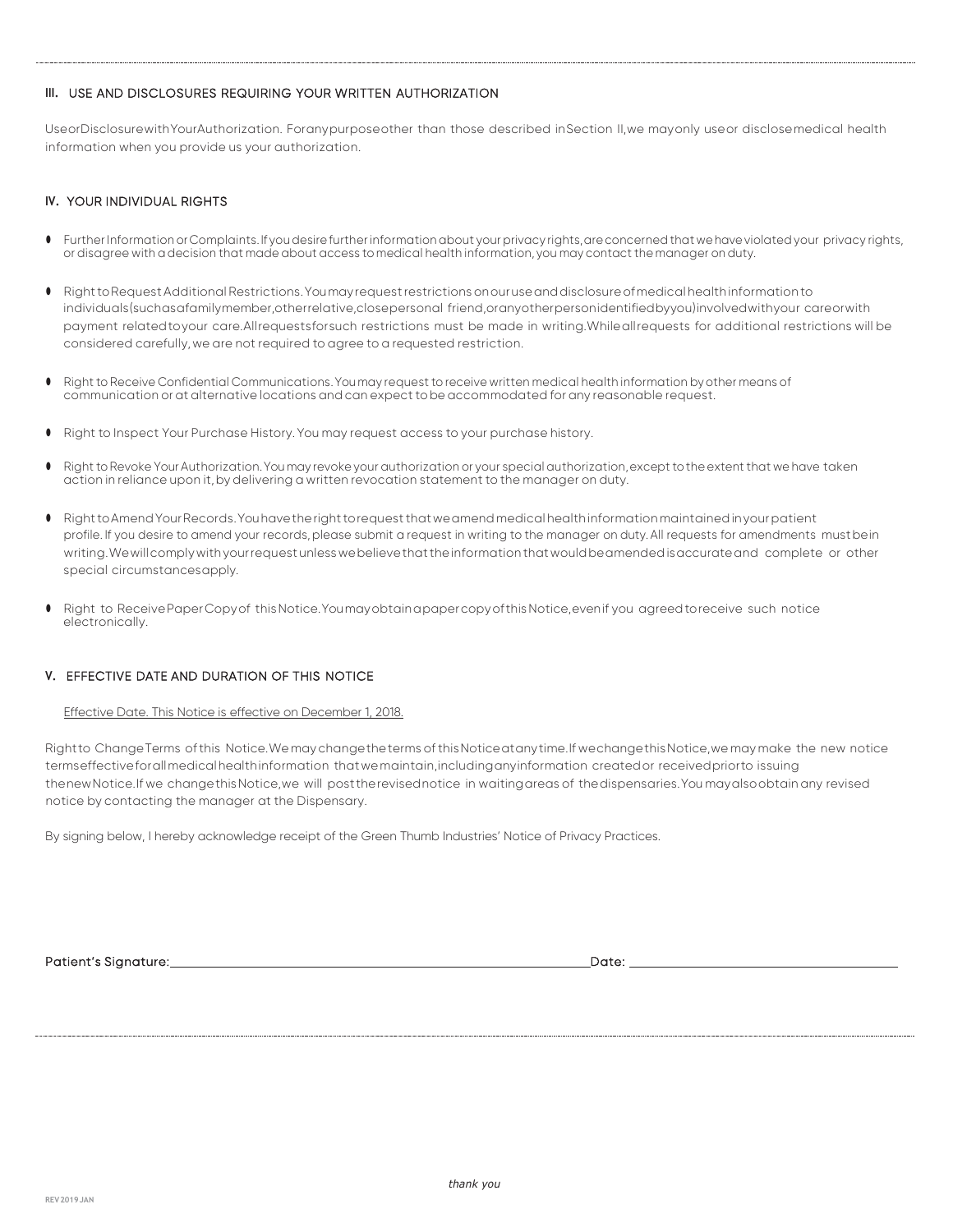#### **III.** USE AND DISCLOSURES REQUIRING YOUR WRITTEN AUTHORIZATION

 UseorDisclosurewithYourAuthorization. Forany purposeother than those described in Section II,we may only use or disclose medical health information when you provide us your authorization.

#### **IV.** YOUR INDIVIDUAL RIGHTS

- Further Information orComplaints. If you desire further information about your privacy rights,areconcerned that wehaveviolated your privacy rights, or disagree with a decision that made about access to medical health information, you may contact the manager on duty.
- RighttoRequestAdditional Restrictions.Youmay requestrestrictions onouruseanddisclosureofmedical healthinformation to individuals(suchasafamilymember,otherrelative,closepersonal friend,oranyotherpersonidentifiedbyyou)involvedwithyour careorwith payment related to your care.Allrequestsforsuch restrictions must be made in writing.While all requests for additional restrictions will be considered carefully,we are not required to agree to a requested restriction.
- Right to Receive Confidential Communications.You may request to receive written medical health information by other means of communication or at alternative locations and can expect to be accommodated for any reasonable request.
- Right to Inspect Your Purchase History. You may request access to your purchase history.
- Right toRevoke Your Authorization.You may revoke your authorization or your special authorization,except tothe extent that we have taken action in reliance upon it,by delivering a written revocation statement to the manager on duty.
- RighttoAmendYourRecords.Youhavetherighttorequestthatweamend medical healthinformation maintainedinyourpatient profile. If you desire to amend your records, please submit a request in writing to the manager on duty. All requests for amendments mustbein writing.Wewillcomplywithyourrequest unlesswebelievethattheinformation thatwouldbeamendedisaccurateand complete or other special circumstancesapply.
- Right to Receive Paper Copy of this Notice. You may obtain a paper copy of this Notice, even if you agreed to receive such notice electronically.

### **V.** EFFECTIVE DATE AND DURATION OF THIS NOTICE

Effective Date. This Notice is effective on December 1, 2018.

Rightto ChangeTerms of this Notice.We may changetheterms of thisNoticeatanytime.If wechangethisNotice,we may make the new notice termseffective forall medical health information that we maintain,includinganyinformation created or receivedpriorto issuing thenewNotice.If we changethisNotice,we will posttherevisednotice in waitingareas of thedispensaries.You mayalsoobtain any revised notice by contacting the manager at the Dispensary.

By signing below, I hereby acknowledge receipt of the Green Thumb Industries' Notice of Privacy Practices.

Patient's Signature: Date: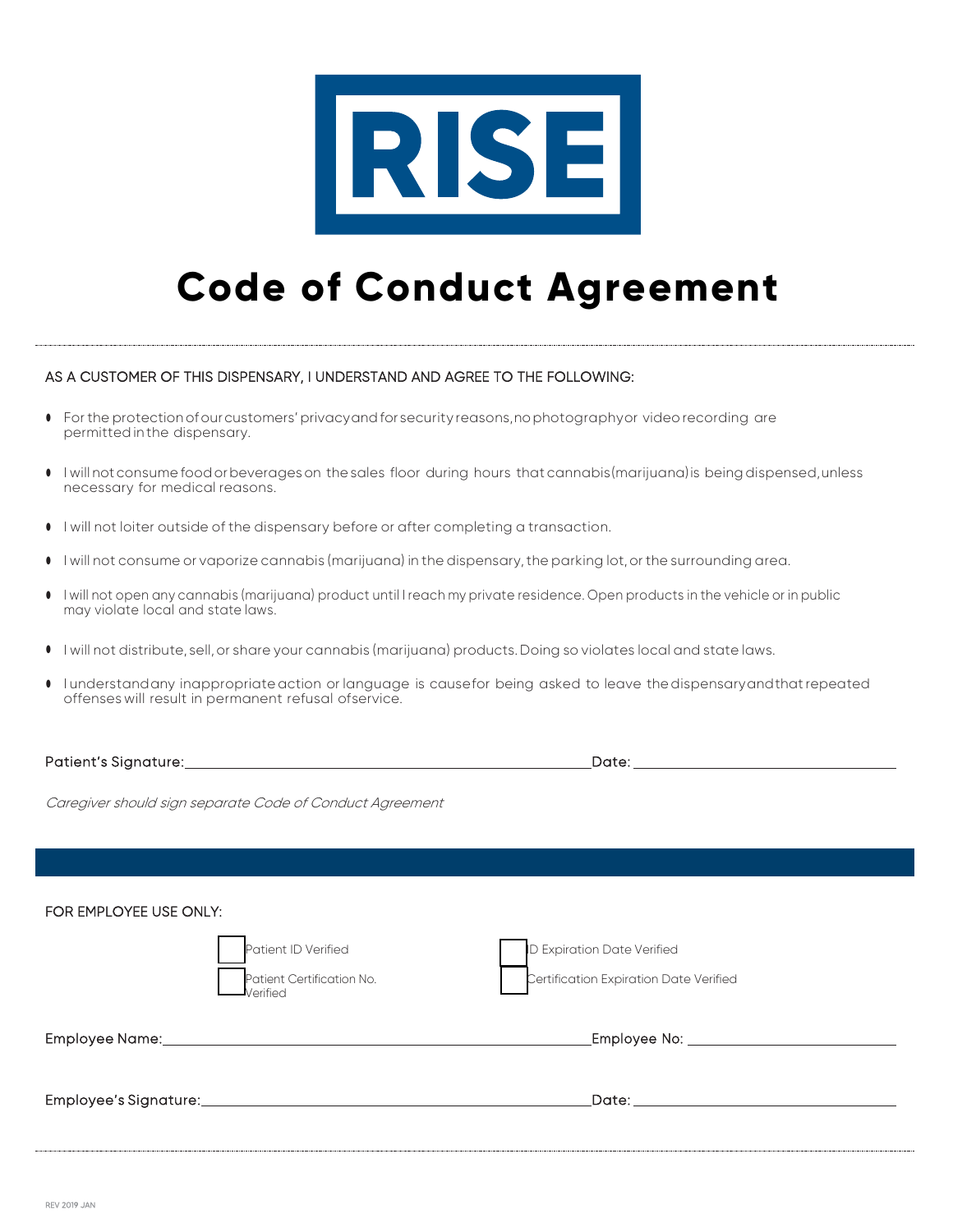

# **Code of Conduct Agreement**

### AS A CUSTOMER OF THIS DISPENSARY, I UNDERSTAND AND AGREE TO THE FOLLOWING:

- For the protection of our customers' privacyand for security reasons,no photographyor video recording are permitted in the dispensary.
- I will not consume food or beverages on the sales floor during hours that cannabis(marijuana)is being dispensed, unless necessary for medical reasons.
- I will not loiter outside of the dispensary before or after completing a transaction.
- I will not consume or vaporize cannabis (marijuana) in the dispensary,the parking lot, or the surrounding area.
- I will not open any cannabis (marijuana) product until I reach my private residence. Open products in the vehicle or in public may violate local and state laws.
- I will not distribute, sell, or share your cannabis (marijuana) products. Doing so violates local and state laws.
- I understandany inappropriate action or language is causefor being asked to leave the dispensaryandthat repeated offenses will result in permanent refusal ofservice.

Patient's Signature: Date:

Caregiver should sign separate Code of Conduct Agreement

| FOR EMPLOYEE USE ONLY: | Patient ID Verified<br>Patient Certification No.<br>Verified | ID Expiration Date Verified<br>Certification Expiration Date Verified                                                                                                                                                          |
|------------------------|--------------------------------------------------------------|--------------------------------------------------------------------------------------------------------------------------------------------------------------------------------------------------------------------------------|
|                        |                                                              |                                                                                                                                                                                                                                |
|                        |                                                              | Date: the contract of the contract of the contract of the contract of the contract of the contract of the contract of the contract of the contract of the contract of the contract of the contract of the contract of the cont |
|                        |                                                              |                                                                                                                                                                                                                                |